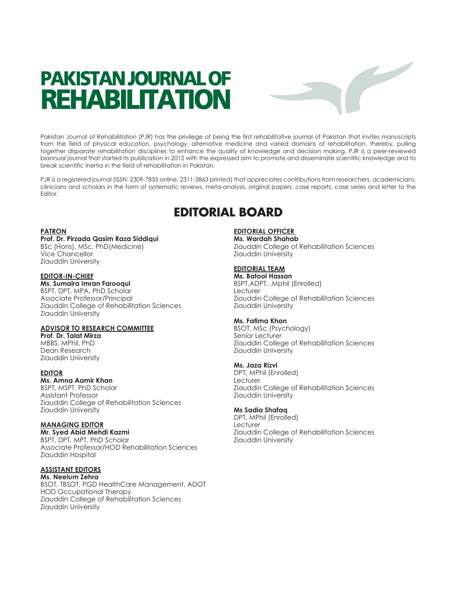# **PAKISTAN JOURNAL OF REHABILITATION**



Pakistan Journal of Rehabilitation (PJR) has the privilege of being the first rehabilitative journal of Pakistan that invites manuscripts from the field of physical education, psychology, alternative medicine and varied domains of rehabilitation, thereby, pulling together disparate rehabilitation disciplines to enhance the quality of knowledge and decision making. PJR is a peer-reviewed biannual journal that started its publication in 2012 with the expressed aim to promote and disseminate scientific knowledge and to break scientific inertia in the field of rehabilitation in Pakistan.

PJR is a registered journal (ISSN: 2309-7833 online, 2311-3863 printed) that appreciates contributions from researchers, academicians, clinicians and scholars in the form of systematic reviews, meta-analysis, original papers, case reports, case series and letter to the Editor.

# **EDITORIAL BOARD**

#### **PATRON**

#### **Prof. Dr. Pirzada Qasim Raza Siddiqui**

BSc (Hons), MSc, PhD(Medicine) Vice Chancellor Ziauddin University

#### **EDITOR-IN-CHIEF**

**Ms. Sumaira Imran Farooqui** BSPT, DPT, MPA, PhD Scholar Associate Professor/Principal Ziauddin College of Rehabilitation Sciences Ziauddin University

#### **ADVISOR TO RESEARCH COMMITTEE**

**Prof. Dr. Talat Mirza** MBBS, MPhil, PhD Dean Research Ziauddin University

#### **EDITOR**

**Ms. Amna Aamir Khan** BSPT, MSPT, PhD Scholar Assistant Professor Ziauddin College of Rehabilitation Sciences Ziauddin University

#### **MANAGING EDITOR Mr. Syed Abid Mehdi Kazmi**

BSPT, DPT, MPT, PhD Scholar Associate Professor/HOD Rehabilitation Sciences Ziauddin Hospital

# **ASSISTANT EDITORS**

**Ms. Neelum Zehra** BSOT, TBSOT, PGD HealthCare Management, ADOT HOD Occupational Therapy Ziauddin College of Rehabilitation Sciences Ziauddin University

# **EDITORIAL OFFICER**

**Ms. Wardah Shahab** Ziauddin College of Rehabilitation Sciences Ziauddin University

### **EDITORIAL TEAM**

**Ms. Batool Hassan** BSPT,ADPT, ,Mphil (Enrolled) Lecturer Ziauddin College of Rehabilitation Sciences Ziauddin University

#### **Ms. Fatima Khan**

BSOT, MSc (Psychology) Senior Lecturer Ziauddin College of Rehabilitation Sciences Ziauddin University

#### **Ms. Jaza Rizvi**

DPT, MPhil (Enrolled) Lecturer Ziauddin College of Rehabilitation Sciences Ziauddin University

#### **Ms Sadia Shafaq**

DPT, MPhil (Enrolled) Lecturer Ziauddin College of Rehabilitation Sciences Ziauddin University